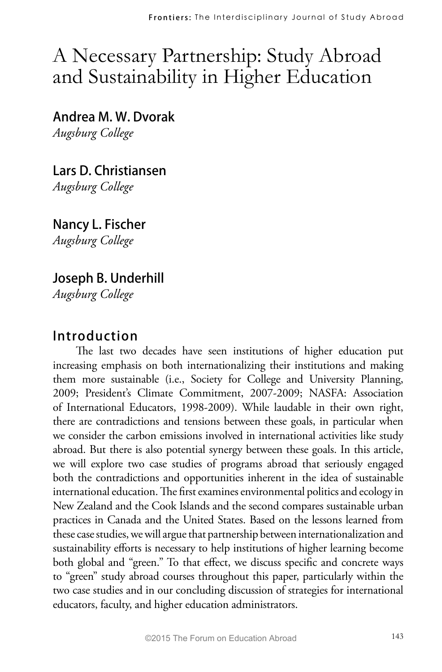# A Necessary Partnership: Study Abroad and Sustainability in Higher Education

**Andrea M. W. Dvorak** *Augsburg College*

**Lars D. Christiansen**  *Augsburg College* 

**Nancy L. Fischer** *Augsburg College*

# **Joseph B. Underhill**

*Augsburg College*

### **Introduction**

The last two decades have seen institutions of higher education put increasing emphasis on both internationalizing their institutions and making them more sustainable (i.e., Society for College and University Planning, 2009; President's Climate Commitment, 2007-2009; NASFA: Association of International Educators, 1998-2009). While laudable in their own right, there are contradictions and tensions between these goals, in particular when we consider the carbon emissions involved in international activities like study abroad. But there is also potential synergy between these goals. In this article, we will explore two case studies of programs abroad that seriously engaged both the contradictions and opportunities inherent in the idea of sustainable international education. The first examines environmental politics and ecology in New Zealand and the Cook Islands and the second compares sustainable urban practices in Canada and the United States. Based on the lessons learned from these case studies, we will argue that partnership between internationalization and sustainability efforts is necessary to help institutions of higher learning become both global and "green." To that effect, we discuss specific and concrete ways to "green" study abroad courses throughout this paper, particularly within the two case studies and in our concluding discussion of strategies for international educators, faculty, and higher education administrators.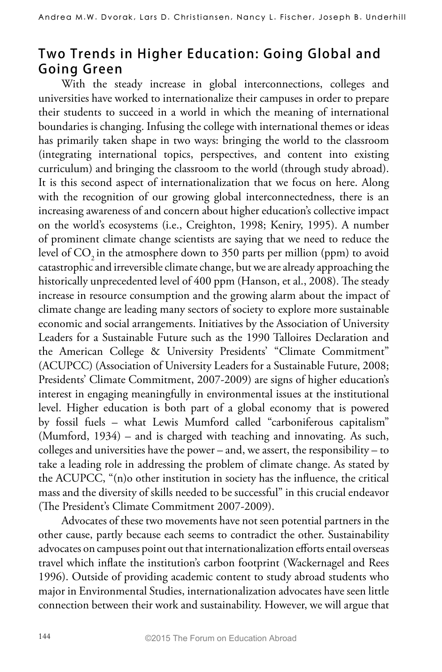# **Two Trends in Higher Education: Going Global and Going Green**

With the steady increase in global interconnections, colleges and universities have worked to internationalize their campuses in order to prepare their students to succeed in a world in which the meaning of international boundaries is changing. Infusing the college with international themes or ideas has primarily taken shape in two ways: bringing the world to the classroom (integrating international topics, perspectives, and content into existing curriculum) and bringing the classroom to the world (through study abroad). It is this second aspect of internationalization that we focus on here. Along with the recognition of our growing global interconnectedness, there is an increasing awareness of and concern about higher education's collective impact on the world's ecosystems (i.e., Creighton, 1998; Keniry, 1995). A number of prominent climate change scientists are saying that we need to reduce the level of CO<sub>2</sub> in the atmosphere down to 350 parts per million (ppm) to avoid catastrophic and irreversible climate change, but we are already approaching the historically unprecedented level of 400 ppm (Hanson, et al., 2008). The steady increase in resource consumption and the growing alarm about the impact of climate change are leading many sectors of society to explore more sustainable economic and social arrangements. Initiatives by the Association of University Leaders for a Sustainable Future such as the 1990 Talloires Declaration and the American College & University Presidents' "Climate Commitment" (ACUPCC) (Association of University Leaders for a Sustainable Future, 2008; Presidents' Climate Commitment, 2007-2009) are signs of higher education's interest in engaging meaningfully in environmental issues at the institutional level. Higher education is both part of a global economy that is powered by fossil fuels – what Lewis Mumford called "carboniferous capitalism" (Mumford, 1934) – and is charged with teaching and innovating. As such, colleges and universities have the power – and, we assert, the responsibility – to take a leading role in addressing the problem of climate change. As stated by the ACUPCC, "(n)o other institution in society has the influence, the critical mass and the diversity of skills needed to be successful" in this crucial endeavor (The President's Climate Commitment 2007-2009).

Advocates of these two movements have not seen potential partners in the other cause, partly because each seems to contradict the other. Sustainability advocates on campuses point out that internationalization efforts entail overseas travel which inflate the institution's carbon footprint (Wackernagel and Rees 1996). Outside of providing academic content to study abroad students who major in Environmental Studies, internationalization advocates have seen little connection between their work and sustainability. However, we will argue that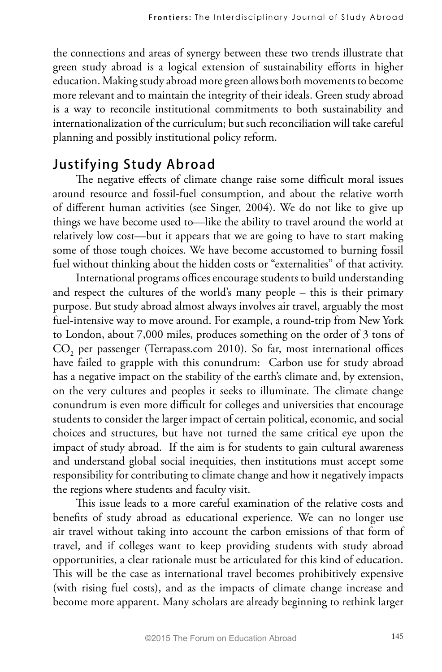the connections and areas of synergy between these two trends illustrate that green study abroad is a logical extension of sustainability efforts in higher education. Making study abroad more green allows both movements to become more relevant and to maintain the integrity of their ideals. Green study abroad is a way to reconcile institutional commitments to both sustainability and internationalization of the curriculum; but such reconciliation will take careful planning and possibly institutional policy reform.

## **Justifying Study Abroad**

The negative effects of climate change raise some difficult moral issues around resource and fossil-fuel consumption, and about the relative worth of different human activities (see Singer, 2004). We do not like to give up things we have become used to—like the ability to travel around the world at relatively low cost—but it appears that we are going to have to start making some of those tough choices. We have become accustomed to burning fossil fuel without thinking about the hidden costs or "externalities" of that activity.

International programs offices encourage students to build understanding and respect the cultures of the world's many people – this is their primary purpose. But study abroad almost always involves air travel, arguably the most fuel-intensive way to move around. For example, a round-trip from New York to London, about 7,000 miles, produces something on the order of 3 tons of  $\text{CO}_\text{2}$  per passenger (Terrapass.com 2010). So far, most international offices have failed to grapple with this conundrum: Carbon use for study abroad has a negative impact on the stability of the earth's climate and, by extension, on the very cultures and peoples it seeks to illuminate. The climate change conundrum is even more difficult for colleges and universities that encourage students to consider the larger impact of certain political, economic, and social choices and structures, but have not turned the same critical eye upon the impact of study abroad. If the aim is for students to gain cultural awareness and understand global social inequities, then institutions must accept some responsibility for contributing to climate change and how it negatively impacts the regions where students and faculty visit.

This issue leads to a more careful examination of the relative costs and benefits of study abroad as educational experience. We can no longer use air travel without taking into account the carbon emissions of that form of travel, and if colleges want to keep providing students with study abroad opportunities, a clear rationale must be articulated for this kind of education. This will be the case as international travel becomes prohibitively expensive (with rising fuel costs), and as the impacts of climate change increase and become more apparent. Many scholars are already beginning to rethink larger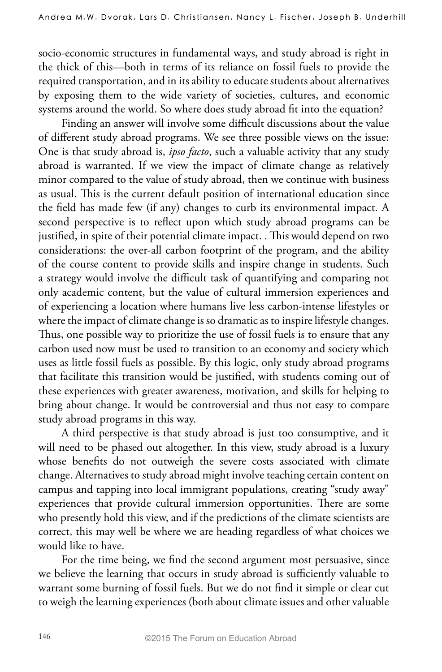socio-economic structures in fundamental ways, and study abroad is right in the thick of this—both in terms of its reliance on fossil fuels to provide the required transportation, and in its ability to educate students about alternatives by exposing them to the wide variety of societies, cultures, and economic systems around the world. So where does study abroad fit into the equation?

Finding an answer will involve some difficult discussions about the value of different study abroad programs. We see three possible views on the issue: One is that study abroad is, *ipso facto*, such a valuable activity that any study abroad is warranted. If we view the impact of climate change as relatively minor compared to the value of study abroad, then we continue with business as usual. This is the current default position of international education since the field has made few (if any) changes to curb its environmental impact. A second perspective is to reflect upon which study abroad programs can be justified, in spite of their potential climate impact. . This would depend on two considerations: the over-all carbon footprint of the program, and the ability of the course content to provide skills and inspire change in students. Such a strategy would involve the difficult task of quantifying and comparing not only academic content, but the value of cultural immersion experiences and of experiencing a location where humans live less carbon-intense lifestyles or where the impact of climate change is so dramatic as to inspire lifestyle changes. Thus, one possible way to prioritize the use of fossil fuels is to ensure that any carbon used now must be used to transition to an economy and society which uses as little fossil fuels as possible. By this logic, only study abroad programs that facilitate this transition would be justified, with students coming out of these experiences with greater awareness, motivation, and skills for helping to bring about change. It would be controversial and thus not easy to compare study abroad programs in this way.

A third perspective is that study abroad is just too consumptive, and it will need to be phased out altogether. In this view, study abroad is a luxury whose benefits do not outweigh the severe costs associated with climate change. Alternatives to study abroad might involve teaching certain content on campus and tapping into local immigrant populations, creating "study away" experiences that provide cultural immersion opportunities. There are some who presently hold this view, and if the predictions of the climate scientists are correct, this may well be where we are heading regardless of what choices we would like to have.

For the time being, we find the second argument most persuasive, since we believe the learning that occurs in study abroad is sufficiently valuable to warrant some burning of fossil fuels. But we do not find it simple or clear cut to weigh the learning experiences (both about climate issues and other valuable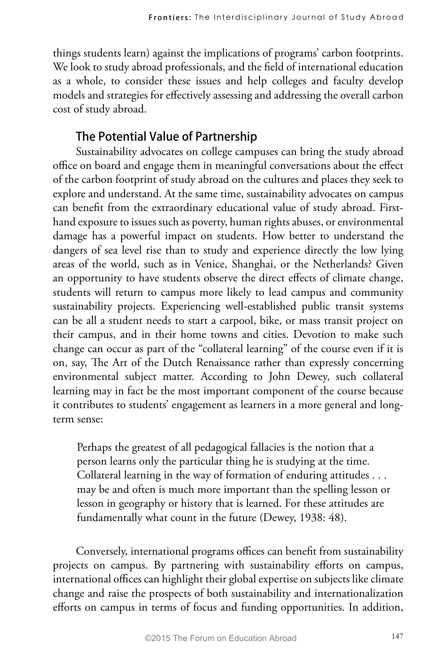things students learn) against the implications of programs' carbon footprints. We look to study abroad professionals, and the field of international education as a whole, to consider these issues and help colleges and faculty develop models and strategies for effectively assessing and addressing the overall carbon cost of study abroad.

## **The Potential Value of Partnership**

Sustainability advocates on college campuses can bring the study abroad office on board and engage them in meaningful conversations about the effect of the carbon footprint of study abroad on the cultures and places they seek to explore and understand. At the same time, sustainability advocates on campus can benefit from the extraordinary educational value of study abroad. Firsthand exposure to issues such as poverty, human rights abuses, or environmental damage has a powerful impact on students. How better to understand the dangers of sea level rise than to study and experience directly the low lying areas of the world, such as in Venice, Shanghai, or the Netherlands? Given an opportunity to have students observe the direct effects of climate change, students will return to campus more likely to lead campus and community sustainability projects. Experiencing well-established public transit systems can be all a student needs to start a carpool, bike, or mass transit project on their campus, and in their home towns and cities. Devotion to make such change can occur as part of the "collateral learning" of the course even if it is on, say, The Art of the Dutch Renaissance rather than expressly concerning environmental subject matter. According to John Dewey, such collateral learning may in fact be the most important component of the course because it contributes to students' engagement as learners in a more general and longterm sense:

Perhaps the greatest of all pedagogical fallacies is the notion that a person learns only the particular thing he is studying at the time. Collateral learning in the way of formation of enduring attitudes . . . may be and often is much more important than the spelling lesson or lesson in geography or history that is learned. For these attitudes are fundamentally what count in the future (Dewey, 1938: 48).

Conversely, international programs offices can benefit from sustainability projects on campus. By partnering with sustainability efforts on campus, international offices can highlight their global expertise on subjects like climate change and raise the prospects of both sustainability and internationalization efforts on campus in terms of focus and funding opportunities. In addition,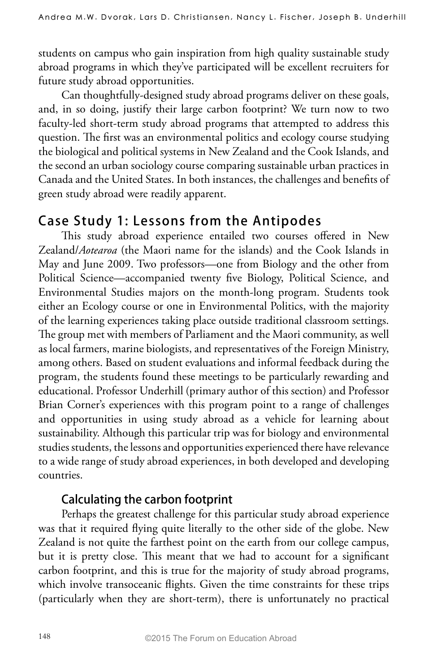students on campus who gain inspiration from high quality sustainable study abroad programs in which they've participated will be excellent recruiters for future study abroad opportunities.

Can thoughtfully-designed study abroad programs deliver on these goals, and, in so doing, justify their large carbon footprint? We turn now to two faculty-led short-term study abroad programs that attempted to address this question. The first was an environmental politics and ecology course studying the biological and political systems in New Zealand and the Cook Islands, and the second an urban sociology course comparing sustainable urban practices in Canada and the United States. In both instances, the challenges and benefits of green study abroad were readily apparent.

## **Case Study 1: Lessons from the Antipodes**

This study abroad experience entailed two courses offered in New Zealand/*Aotearoa* (the Maori name for the islands) and the Cook Islands in May and June 2009. Two professors—one from Biology and the other from Political Science—accompanied twenty five Biology, Political Science, and Environmental Studies majors on the month-long program. Students took either an Ecology course or one in Environmental Politics, with the majority of the learning experiences taking place outside traditional classroom settings. The group met with members of Parliament and the Maori community, as well as local farmers, marine biologists, and representatives of the Foreign Ministry, among others. Based on student evaluations and informal feedback during the program, the students found these meetings to be particularly rewarding and educational. Professor Underhill (primary author of this section) and Professor Brian Corner's experiences with this program point to a range of challenges and opportunities in using study abroad as a vehicle for learning about sustainability. Although this particular trip was for biology and environmental studies students, the lessons and opportunities experienced there have relevance to a wide range of study abroad experiences, in both developed and developing countries.

## **Calculating the carbon footprint**

Perhaps the greatest challenge for this particular study abroad experience was that it required flying quite literally to the other side of the globe. New Zealand is not quite the farthest point on the earth from our college campus, but it is pretty close. This meant that we had to account for a significant carbon footprint, and this is true for the majority of study abroad programs, which involve transoceanic flights. Given the time constraints for these trips (particularly when they are short-term), there is unfortunately no practical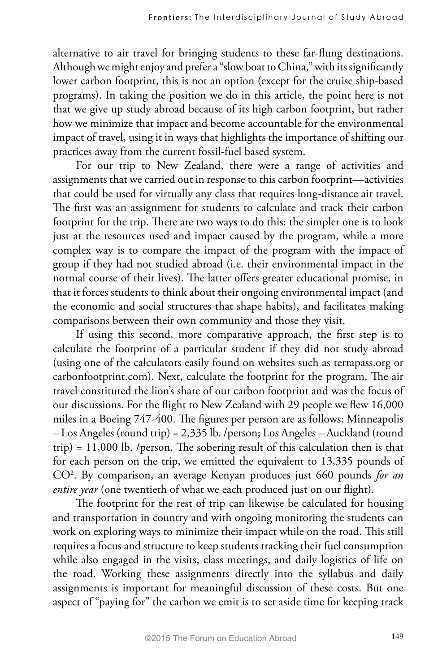alternative to air travel for bringing students to these far-flung destinations. Although we might enjoy and prefer a "slow boat to China," with its significantly lower carbon footprint, this is not an option (except for the cruise ship-based programs). In taking the position we do in this article, the point here is not that we give up study abroad because of its high carbon footprint, but rather how we minimize that impact and become accountable for the environmental impact of travel, using it in ways that highlights the importance of shifting our practices away from the current fossil-fuel based system.

For our trip to New Zealand, there were a range of activities and assignments that we carried out in response to this carbon footprint—activities that could be used for virtually any class that requires long-distance air travel. The first was an assignment for students to calculate and track their carbon footprint for the trip. There are two ways to do this: the simpler one is to look just at the resources used and impact caused by the program, while a more complex way is to compare the impact of the program with the impact of group if they had not studied abroad (i.e. their environmental impact in the normal course of their lives). The latter offers greater educational promise, in that it forces students to think about their ongoing environmental impact (and the economic and social structures that shape habits), and facilitates making comparisons between their own community and those they visit.

If using this second, more comparative approach, the first step is to calculate the footprint of a particular student if they did not study abroad (using one of the calculators easily found on websites such as terrapass.org or carbonfootprint.com). Next, calculate the footprint for the program. The air travel constituted the lion's share of our carbon footprint and was the focus of our discussions. For the flight to New Zealand with 29 people we flew 16,000 miles in a Boeing 747-400. The figures per person are as follows: Minneapolis – Los Angeles (round trip) = 2,335 lb. /person; Los Angeles – Auckland (round trip) = 11,000 lb. /person. The sobering result of this calculation then is that for each person on the trip, we emitted the equivalent to 13,335 pounds of CO2 . By comparison, an average Kenyan produces just 660 pounds *for an entire year* (one twentieth of what we each produced just on our flight).

The footprint for the rest of trip can likewise be calculated for housing and transportation in country and with ongoing monitoring the students can work on exploring ways to minimize their impact while on the road. This still requires a focus and structure to keep students tracking their fuel consumption while also engaged in the visits, class meetings, and daily logistics of life on the road. Working these assignments directly into the syllabus and daily assignments is important for meaningful discussion of these costs. But one aspect of "paying for" the carbon we emit is to set aside time for keeping track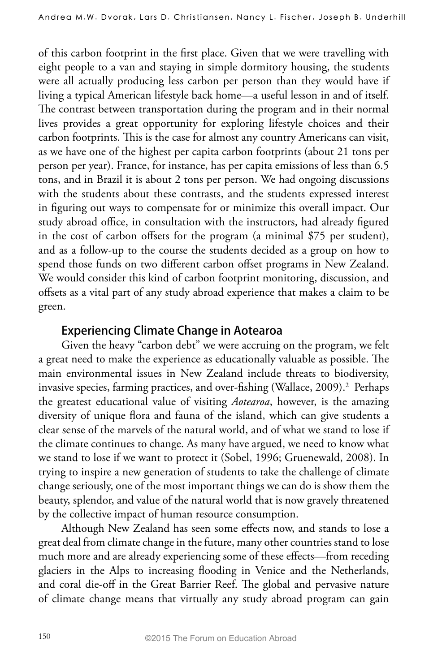of this carbon footprint in the first place. Given that we were travelling with eight people to a van and staying in simple dormitory housing, the students were all actually producing less carbon per person than they would have if living a typical American lifestyle back home—a useful lesson in and of itself. The contrast between transportation during the program and in their normal lives provides a great opportunity for exploring lifestyle choices and their carbon footprints. This is the case for almost any country Americans can visit, as we have one of the highest per capita carbon footprints (about 21 tons per person per year). France, for instance, has per capita emissions of less than 6.5 tons, and in Brazil it is about 2 tons per person. We had ongoing discussions with the students about these contrasts, and the students expressed interest in figuring out ways to compensate for or minimize this overall impact. Our study abroad office, in consultation with the instructors, had already figured in the cost of carbon offsets for the program (a minimal \$75 per student), and as a follow-up to the course the students decided as a group on how to spend those funds on two different carbon offset programs in New Zealand. We would consider this kind of carbon footprint monitoring, discussion, and offsets as a vital part of any study abroad experience that makes a claim to be green.

#### **Experiencing Climate Change in Aotearoa**

Given the heavy "carbon debt" we were accruing on the program, we felt a great need to make the experience as educationally valuable as possible. The main environmental issues in New Zealand include threats to biodiversity, invasive species, farming practices, and over-fishing (Wallace, 2009).<sup>2</sup> Perhaps the greatest educational value of visiting *Aotearoa*, however, is the amazing diversity of unique flora and fauna of the island, which can give students a clear sense of the marvels of the natural world, and of what we stand to lose if the climate continues to change. As many have argued, we need to know what we stand to lose if we want to protect it (Sobel, 1996; Gruenewald, 2008). In trying to inspire a new generation of students to take the challenge of climate change seriously, one of the most important things we can do is show them the beauty, splendor, and value of the natural world that is now gravely threatened by the collective impact of human resource consumption.

Although New Zealand has seen some effects now, and stands to lose a great deal from climate change in the future, many other countries stand to lose much more and are already experiencing some of these effects—from receding glaciers in the Alps to increasing flooding in Venice and the Netherlands, and coral die-off in the Great Barrier Reef. The global and pervasive nature of climate change means that virtually any study abroad program can gain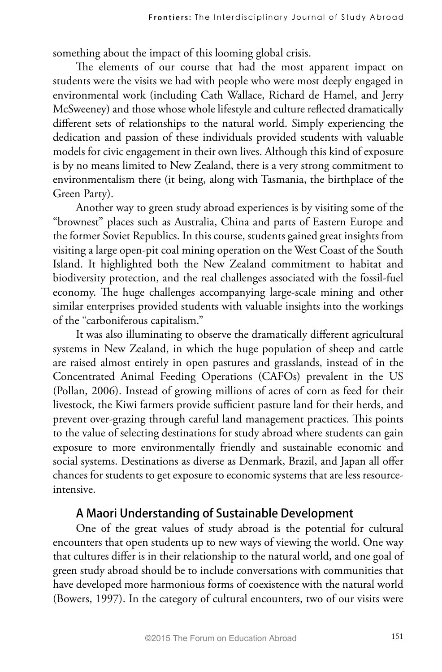something about the impact of this looming global crisis.

The elements of our course that had the most apparent impact on students were the visits we had with people who were most deeply engaged in environmental work (including Cath Wallace, Richard de Hamel, and Jerry McSweeney) and those whose whole lifestyle and culture reflected dramatically different sets of relationships to the natural world. Simply experiencing the dedication and passion of these individuals provided students with valuable models for civic engagement in their own lives. Although this kind of exposure is by no means limited to New Zealand, there is a very strong commitment to environmentalism there (it being, along with Tasmania, the birthplace of the Green Party).

Another way to green study abroad experiences is by visiting some of the "brownest" places such as Australia, China and parts of Eastern Europe and the former Soviet Republics. In this course, students gained great insights from visiting a large open-pit coal mining operation on the West Coast of the South Island. It highlighted both the New Zealand commitment to habitat and biodiversity protection, and the real challenges associated with the fossil-fuel economy. The huge challenges accompanying large-scale mining and other similar enterprises provided students with valuable insights into the workings of the "carboniferous capitalism."

It was also illuminating to observe the dramatically different agricultural systems in New Zealand, in which the huge population of sheep and cattle are raised almost entirely in open pastures and grasslands, instead of in the Concentrated Animal Feeding Operations (CAFOs) prevalent in the US (Pollan, 2006). Instead of growing millions of acres of corn as feed for their livestock, the Kiwi farmers provide sufficient pasture land for their herds, and prevent over-grazing through careful land management practices. This points to the value of selecting destinations for study abroad where students can gain exposure to more environmentally friendly and sustainable economic and social systems. Destinations as diverse as Denmark, Brazil, and Japan all offer chances for students to get exposure to economic systems that are less resourceintensive.

#### **A Maori Understanding of Sustainable Development**

One of the great values of study abroad is the potential for cultural encounters that open students up to new ways of viewing the world. One way that cultures differ is in their relationship to the natural world, and one goal of green study abroad should be to include conversations with communities that have developed more harmonious forms of coexistence with the natural world (Bowers, 1997). In the category of cultural encounters, two of our visits were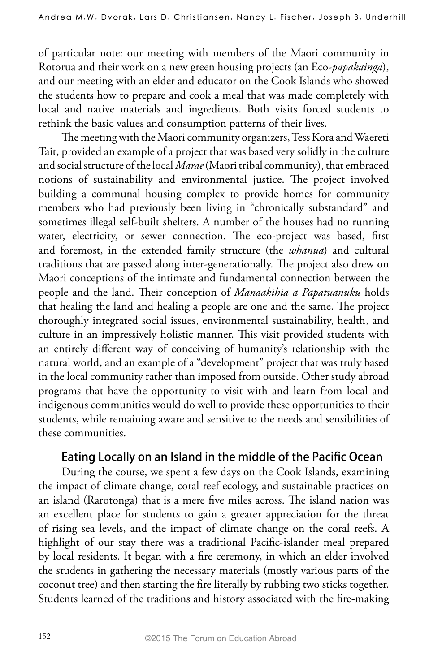of particular note: our meeting with members of the Maori community in Rotorua and their work on a new green housing projects (an Eco-*papakainga*), and our meeting with an elder and educator on the Cook Islands who showed the students how to prepare and cook a meal that was made completely with local and native materials and ingredients. Both visits forced students to rethink the basic values and consumption patterns of their lives.

The meeting with the Maori community organizers, Tess Kora and Waereti Tait, provided an example of a project that was based very solidly in the culture and social structure of the local *Marae* (Maori tribal community), that embraced notions of sustainability and environmental justice. The project involved building a communal housing complex to provide homes for community members who had previously been living in "chronically substandard" and sometimes illegal self-built shelters. A number of the houses had no running water, electricity, or sewer connection. The eco-project was based, first and foremost, in the extended family structure (the *whanua*) and cultural traditions that are passed along inter-generationally. The project also drew on Maori conceptions of the intimate and fundamental connection between the people and the land. Their conception of *Manaakihia a Papatuanuku* holds that healing the land and healing a people are one and the same. The project thoroughly integrated social issues, environmental sustainability, health, and culture in an impressively holistic manner. This visit provided students with an entirely different way of conceiving of humanity's relationship with the natural world, and an example of a "development" project that was truly based in the local community rather than imposed from outside. Other study abroad programs that have the opportunity to visit with and learn from local and indigenous communities would do well to provide these opportunities to their students, while remaining aware and sensitive to the needs and sensibilities of these communities.

#### **Eating Locally on an Island in the middle of the Pacific Ocean**

During the course, we spent a few days on the Cook Islands, examining the impact of climate change, coral reef ecology, and sustainable practices on an island (Rarotonga) that is a mere five miles across. The island nation was an excellent place for students to gain a greater appreciation for the threat of rising sea levels, and the impact of climate change on the coral reefs. A highlight of our stay there was a traditional Pacific-islander meal prepared by local residents. It began with a fire ceremony, in which an elder involved the students in gathering the necessary materials (mostly various parts of the coconut tree) and then starting the fire literally by rubbing two sticks together. Students learned of the traditions and history associated with the fire-making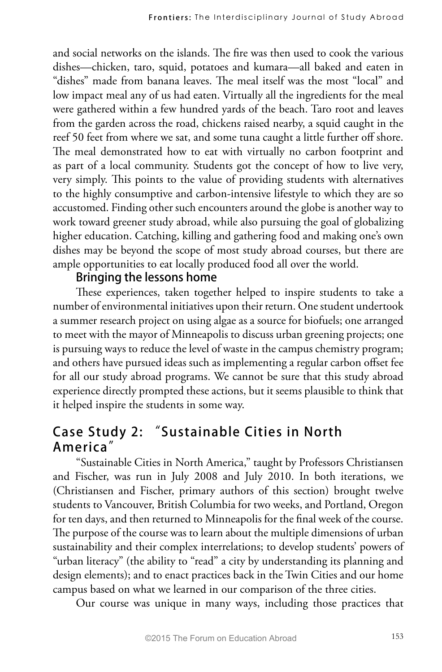and social networks on the islands. The fire was then used to cook the various dishes—chicken, taro, squid, potatoes and kumara—all baked and eaten in "dishes" made from banana leaves. The meal itself was the most "local" and low impact meal any of us had eaten. Virtually all the ingredients for the meal were gathered within a few hundred yards of the beach. Taro root and leaves from the garden across the road, chickens raised nearby, a squid caught in the reef 50 feet from where we sat, and some tuna caught a little further off shore. The meal demonstrated how to eat with virtually no carbon footprint and as part of a local community. Students got the concept of how to live very, very simply. This points to the value of providing students with alternatives to the highly consumptive and carbon-intensive lifestyle to which they are so accustomed. Finding other such encounters around the globe is another way to work toward greener study abroad, while also pursuing the goal of globalizing higher education. Catching, killing and gathering food and making one's own dishes may be beyond the scope of most study abroad courses, but there are ample opportunities to eat locally produced food all over the world.

#### **Bringing the lessons home**

These experiences, taken together helped to inspire students to take a number of environmental initiatives upon their return. One student undertook a summer research project on using algae as a source for biofuels; one arranged to meet with the mayor of Minneapolis to discuss urban greening projects; one is pursuing ways to reduce the level of waste in the campus chemistry program; and others have pursued ideas such as implementing a regular carbon offset fee for all our study abroad programs. We cannot be sure that this study abroad experience directly prompted these actions, but it seems plausible to think that it helped inspire the students in some way.

## **Case Study 2: "Sustainable Cities in North America"**

"Sustainable Cities in North America," taught by Professors Christiansen and Fischer, was run in July 2008 and July 2010. In both iterations, we (Christiansen and Fischer, primary authors of this section) brought twelve students to Vancouver, British Columbia for two weeks, and Portland, Oregon for ten days, and then returned to Minneapolis for the final week of the course. The purpose of the course was to learn about the multiple dimensions of urban sustainability and their complex interrelations; to develop students' powers of "urban literacy" (the ability to "read" a city by understanding its planning and design elements); and to enact practices back in the Twin Cities and our home campus based on what we learned in our comparison of the three cities.

Our course was unique in many ways, including those practices that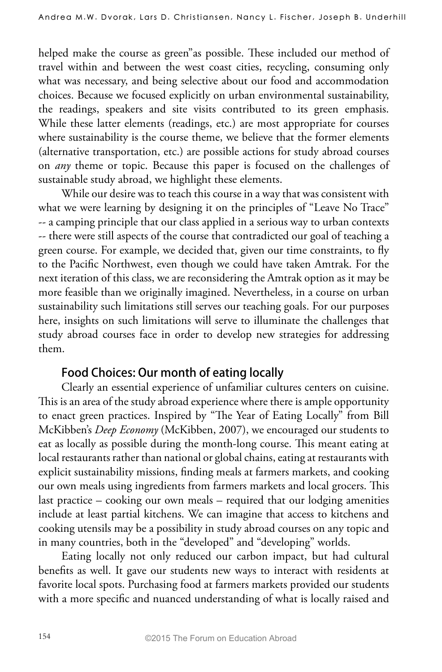helped make the course as green"as possible. These included our method of travel within and between the west coast cities, recycling, consuming only what was necessary, and being selective about our food and accommodation choices. Because we focused explicitly on urban environmental sustainability, the readings, speakers and site visits contributed to its green emphasis. While these latter elements (readings, etc.) are most appropriate for courses where sustainability is the course theme, we believe that the former elements (alternative transportation, etc.) are possible actions for study abroad courses on *any* theme or topic. Because this paper is focused on the challenges of sustainable study abroad, we highlight these elements.

While our desire was to teach this course in a way that was consistent with what we were learning by designing it on the principles of "Leave No Trace" -- a camping principle that our class applied in a serious way to urban contexts -- there were still aspects of the course that contradicted our goal of teaching a green course. For example, we decided that, given our time constraints, to fly to the Pacific Northwest, even though we could have taken Amtrak. For the next iteration of this class, we are reconsidering the Amtrak option as it may be more feasible than we originally imagined. Nevertheless, in a course on urban sustainability such limitations still serves our teaching goals. For our purposes here, insights on such limitations will serve to illuminate the challenges that study abroad courses face in order to develop new strategies for addressing them.

## **Food Choices: Our month of eating locally**

Clearly an essential experience of unfamiliar cultures centers on cuisine. This is an area of the study abroad experience where there is ample opportunity to enact green practices. Inspired by "The Year of Eating Locally" from Bill McKibben's *Deep Economy* (McKibben, 2007), we encouraged our students to eat as locally as possible during the month-long course. This meant eating at local restaurants rather than national or global chains, eating at restaurants with explicit sustainability missions, finding meals at farmers markets, and cooking our own meals using ingredients from farmers markets and local grocers. This last practice – cooking our own meals – required that our lodging amenities include at least partial kitchens. We can imagine that access to kitchens and cooking utensils may be a possibility in study abroad courses on any topic and in many countries, both in the "developed" and "developing" worlds.

Eating locally not only reduced our carbon impact, but had cultural benefits as well. It gave our students new ways to interact with residents at favorite local spots. Purchasing food at farmers markets provided our students with a more specific and nuanced understanding of what is locally raised and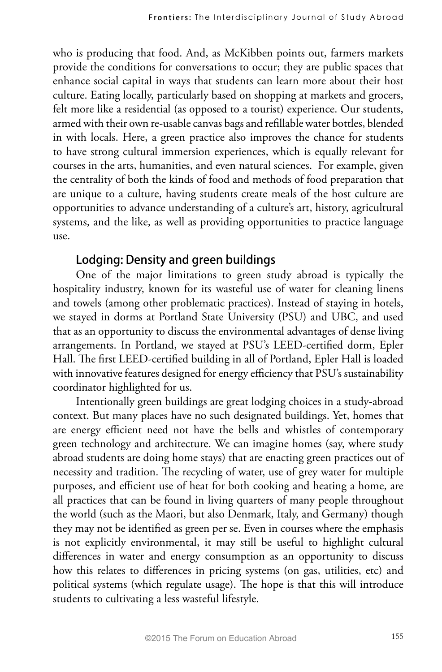who is producing that food. And, as McKibben points out, farmers markets provide the conditions for conversations to occur; they are public spaces that enhance social capital in ways that students can learn more about their host culture. Eating locally, particularly based on shopping at markets and grocers, felt more like a residential (as opposed to a tourist) experience. Our students, armed with their own re-usable canvas bags and refillable water bottles, blended in with locals. Here, a green practice also improves the chance for students to have strong cultural immersion experiences, which is equally relevant for courses in the arts, humanities, and even natural sciences. For example, given the centrality of both the kinds of food and methods of food preparation that are unique to a culture, having students create meals of the host culture are opportunities to advance understanding of a culture's art, history, agricultural systems, and the like, as well as providing opportunities to practice language use.

#### **Lodging: Density and green buildings**

One of the major limitations to green study abroad is typically the hospitality industry, known for its wasteful use of water for cleaning linens and towels (among other problematic practices). Instead of staying in hotels, we stayed in dorms at Portland State University (PSU) and UBC, and used that as an opportunity to discuss the environmental advantages of dense living arrangements. In Portland, we stayed at PSU's LEED-certified dorm, Epler Hall. The first LEED-certified building in all of Portland, Epler Hall is loaded with innovative features designed for energy efficiency that PSU's sustainability coordinator highlighted for us.

Intentionally green buildings are great lodging choices in a study-abroad context. But many places have no such designated buildings. Yet, homes that are energy efficient need not have the bells and whistles of contemporary green technology and architecture. We can imagine homes (say, where study abroad students are doing home stays) that are enacting green practices out of necessity and tradition. The recycling of water, use of grey water for multiple purposes, and efficient use of heat for both cooking and heating a home, are all practices that can be found in living quarters of many people throughout the world (such as the Maori, but also Denmark, Italy, and Germany) though they may not be identified as green per se. Even in courses where the emphasis is not explicitly environmental, it may still be useful to highlight cultural differences in water and energy consumption as an opportunity to discuss how this relates to differences in pricing systems (on gas, utilities, etc) and political systems (which regulate usage). The hope is that this will introduce students to cultivating a less wasteful lifestyle.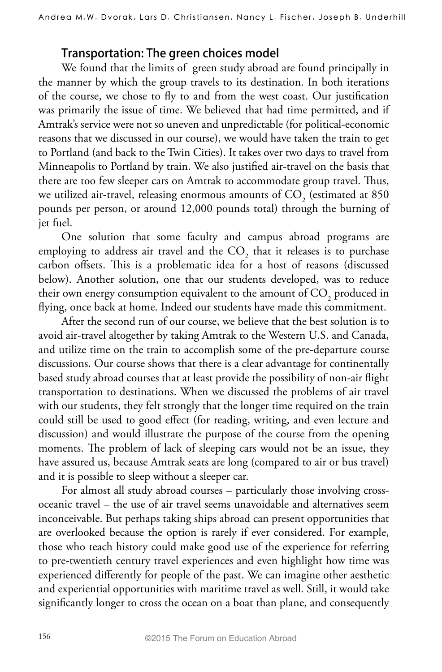#### **Transportation: The green choices model**

We found that the limits of green study abroad are found principally in the manner by which the group travels to its destination. In both iterations of the course, we chose to fly to and from the west coast. Our justification was primarily the issue of time. We believed that had time permitted, and if Amtrak's service were not so uneven and unpredictable (for political-economic reasons that we discussed in our course), we would have taken the train to get to Portland (and back to the Twin Cities). It takes over two days to travel from Minneapolis to Portland by train. We also justified air-travel on the basis that there are too few sleeper cars on Amtrak to accommodate group travel. Thus, we utilized air-travel, releasing enormous amounts of  $\mathrm{CO}_2$  (estimated at 850 pounds per person, or around 12,000 pounds total) through the burning of jet fuel.

One solution that some faculty and campus abroad programs are employing to address air travel and the  $\mathrm{CO}_2^{}$  that it releases is to purchase carbon offsets. This is a problematic idea for a host of reasons (discussed below). Another solution, one that our students developed, was to reduce their own energy consumption equivalent to the amount of  $\mathrm{CO}_2^{}$  produced in flying, once back at home. Indeed our students have made this commitment.

After the second run of our course, we believe that the best solution is to avoid air-travel altogether by taking Amtrak to the Western U.S. and Canada, and utilize time on the train to accomplish some of the pre-departure course discussions. Our course shows that there is a clear advantage for continentally based study abroad courses that at least provide the possibility of non-air flight transportation to destinations. When we discussed the problems of air travel with our students, they felt strongly that the longer time required on the train could still be used to good effect (for reading, writing, and even lecture and discussion) and would illustrate the purpose of the course from the opening moments. The problem of lack of sleeping cars would not be an issue, they have assured us, because Amtrak seats are long (compared to air or bus travel) and it is possible to sleep without a sleeper car.

For almost all study abroad courses – particularly those involving crossoceanic travel – the use of air travel seems unavoidable and alternatives seem inconceivable. But perhaps taking ships abroad can present opportunities that are overlooked because the option is rarely if ever considered. For example, those who teach history could make good use of the experience for referring to pre-twentieth century travel experiences and even highlight how time was experienced differently for people of the past. We can imagine other aesthetic and experiential opportunities with maritime travel as well. Still, it would take significantly longer to cross the ocean on a boat than plane, and consequently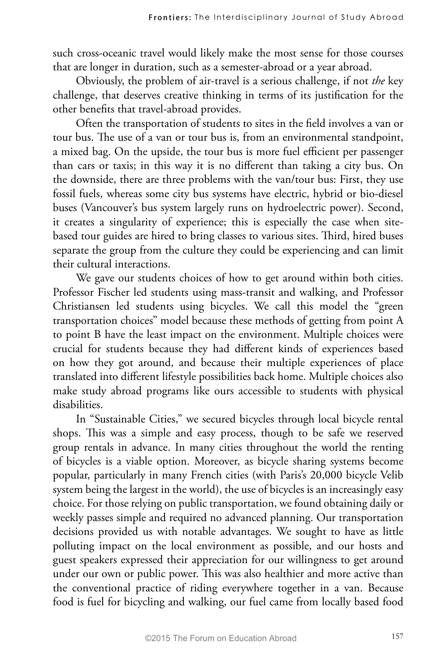such cross-oceanic travel would likely make the most sense for those courses that are longer in duration, such as a semester-abroad or a year abroad.

Obviously, the problem of air-travel is a serious challenge, if not *the* key challenge, that deserves creative thinking in terms of its justification for the other benefits that travel-abroad provides.

Often the transportation of students to sites in the field involves a van or tour bus. The use of a van or tour bus is, from an environmental standpoint, a mixed bag. On the upside, the tour bus is more fuel efficient per passenger than cars or taxis; in this way it is no different than taking a city bus. On the downside, there are three problems with the van/tour bus: First, they use fossil fuels, whereas some city bus systems have electric, hybrid or bio-diesel buses (Vancouver's bus system largely runs on hydroelectric power). Second, it creates a singularity of experience; this is especially the case when sitebased tour guides are hired to bring classes to various sites. Third, hired buses separate the group from the culture they could be experiencing and can limit their cultural interactions.

We gave our students choices of how to get around within both cities. Professor Fischer led students using mass-transit and walking, and Professor Christiansen led students using bicycles. We call this model the "green transportation choices" model because these methods of getting from point A to point B have the least impact on the environment. Multiple choices were crucial for students because they had different kinds of experiences based on how they got around, and because their multiple experiences of place translated into different lifestyle possibilities back home. Multiple choices also make study abroad programs like ours accessible to students with physical disabilities.

In "Sustainable Cities," we secured bicycles through local bicycle rental shops. This was a simple and easy process, though to be safe we reserved group rentals in advance. In many cities throughout the world the renting of bicycles is a viable option. Moreover, as bicycle sharing systems become popular, particularly in many French cities (with Paris's 20,000 bicycle Velib system being the largest in the world), the use of bicycles is an increasingly easy choice. For those relying on public transportation, we found obtaining daily or weekly passes simple and required no advanced planning. Our transportation decisions provided us with notable advantages. We sought to have as little polluting impact on the local environment as possible, and our hosts and guest speakers expressed their appreciation for our willingness to get around under our own or public power. This was also healthier and more active than the conventional practice of riding everywhere together in a van. Because food is fuel for bicycling and walking, our fuel came from locally based food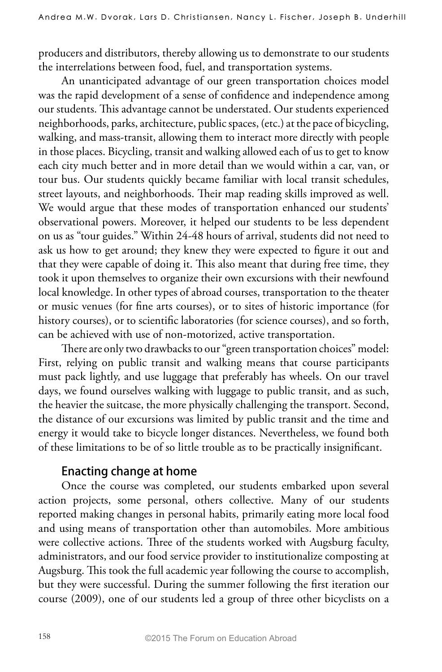producers and distributors, thereby allowing us to demonstrate to our students the interrelations between food, fuel, and transportation systems.

An unanticipated advantage of our green transportation choices model was the rapid development of a sense of confidence and independence among our students. This advantage cannot be understated. Our students experienced neighborhoods, parks, architecture, public spaces, (etc.) at the pace of bicycling, walking, and mass-transit, allowing them to interact more directly with people in those places. Bicycling, transit and walking allowed each of us to get to know each city much better and in more detail than we would within a car, van, or tour bus. Our students quickly became familiar with local transit schedules, street layouts, and neighborhoods. Their map reading skills improved as well. We would argue that these modes of transportation enhanced our students' observational powers. Moreover, it helped our students to be less dependent on us as "tour guides." Within 24-48 hours of arrival, students did not need to ask us how to get around; they knew they were expected to figure it out and that they were capable of doing it. This also meant that during free time, they took it upon themselves to organize their own excursions with their newfound local knowledge. In other types of abroad courses, transportation to the theater or music venues (for fine arts courses), or to sites of historic importance (for history courses), or to scientific laboratories (for science courses), and so forth, can be achieved with use of non-motorized, active transportation.

There are only two drawbacks to our "green transportation choices" model: First, relying on public transit and walking means that course participants must pack lightly, and use luggage that preferably has wheels. On our travel days, we found ourselves walking with luggage to public transit, and as such, the heavier the suitcase, the more physically challenging the transport. Second, the distance of our excursions was limited by public transit and the time and energy it would take to bicycle longer distances. Nevertheless, we found both of these limitations to be of so little trouble as to be practically insignificant.

#### **Enacting change at home**

Once the course was completed, our students embarked upon several action projects, some personal, others collective. Many of our students reported making changes in personal habits, primarily eating more local food and using means of transportation other than automobiles. More ambitious were collective actions. Three of the students worked with Augsburg faculty, administrators, and our food service provider to institutionalize composting at Augsburg. This took the full academic year following the course to accomplish, but they were successful. During the summer following the first iteration our course (2009), one of our students led a group of three other bicyclists on a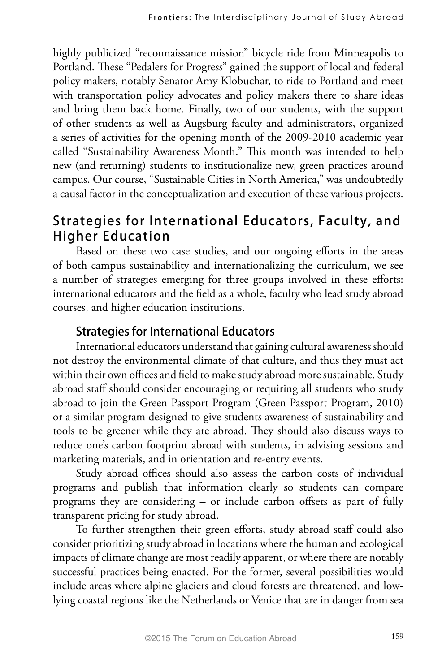highly publicized "reconnaissance mission" bicycle ride from Minneapolis to Portland. These "Pedalers for Progress" gained the support of local and federal policy makers, notably Senator Amy Klobuchar, to ride to Portland and meet with transportation policy advocates and policy makers there to share ideas and bring them back home. Finally, two of our students, with the support of other students as well as Augsburg faculty and administrators, organized a series of activities for the opening month of the 2009-2010 academic year called "Sustainability Awareness Month." This month was intended to help new (and returning) students to institutionalize new, green practices around campus. Our course, "Sustainable Cities in North America," was undoubtedly a causal factor in the conceptualization and execution of these various projects.

## **Strategies for International Educators, Faculty, and Higher Education**

Based on these two case studies, and our ongoing efforts in the areas of both campus sustainability and internationalizing the curriculum, we see a number of strategies emerging for three groups involved in these efforts: international educators and the field as a whole, faculty who lead study abroad courses, and higher education institutions.

## **Strategies for International Educators**

International educators understand that gaining cultural awareness should not destroy the environmental climate of that culture, and thus they must act within their own offices and field to make study abroad more sustainable. Study abroad staff should consider encouraging or requiring all students who study abroad to join the Green Passport Program (Green Passport Program, 2010) or a similar program designed to give students awareness of sustainability and tools to be greener while they are abroad. They should also discuss ways to reduce one's carbon footprint abroad with students, in advising sessions and marketing materials, and in orientation and re-entry events.

Study abroad offices should also assess the carbon costs of individual programs and publish that information clearly so students can compare programs they are considering – or include carbon offsets as part of fully transparent pricing for study abroad.

To further strengthen their green efforts, study abroad staff could also consider prioritizing study abroad in locations where the human and ecological impacts of climate change are most readily apparent, or where there are notably successful practices being enacted. For the former, several possibilities would include areas where alpine glaciers and cloud forests are threatened, and lowlying coastal regions like the Netherlands or Venice that are in danger from sea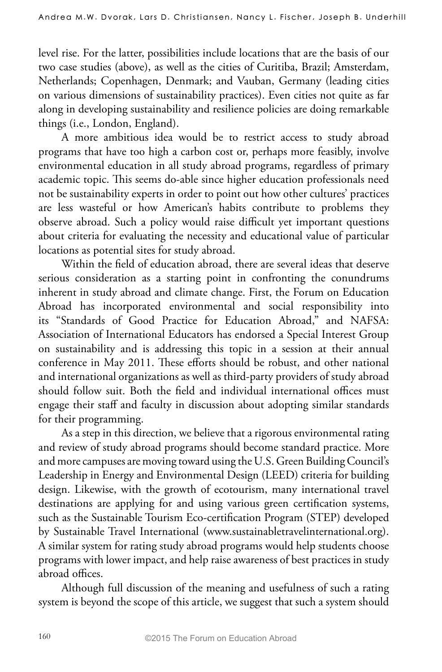level rise. For the latter, possibilities include locations that are the basis of our two case studies (above), as well as the cities of Curitiba, Brazil; Amsterdam, Netherlands; Copenhagen, Denmark; and Vauban, Germany (leading cities on various dimensions of sustainability practices). Even cities not quite as far along in developing sustainability and resilience policies are doing remarkable things (i.e., London, England).

A more ambitious idea would be to restrict access to study abroad programs that have too high a carbon cost or, perhaps more feasibly, involve environmental education in all study abroad programs, regardless of primary academic topic. This seems do-able since higher education professionals need not be sustainability experts in order to point out how other cultures' practices are less wasteful or how American's habits contribute to problems they observe abroad. Such a policy would raise difficult yet important questions about criteria for evaluating the necessity and educational value of particular locations as potential sites for study abroad.

Within the field of education abroad, there are several ideas that deserve serious consideration as a starting point in confronting the conundrums inherent in study abroad and climate change. First, the Forum on Education Abroad has incorporated environmental and social responsibility into its "Standards of Good Practice for Education Abroad," and NAFSA: Association of International Educators has endorsed a Special Interest Group on sustainability and is addressing this topic in a session at their annual conference in May 2011. These efforts should be robust, and other national and international organizations as well as third-party providers of study abroad should follow suit. Both the field and individual international offices must engage their staff and faculty in discussion about adopting similar standards for their programming.

As a step in this direction, we believe that a rigorous environmental rating and review of study abroad programs should become standard practice. More and more campuses are moving toward using the U.S. Green Building Council's Leadership in Energy and Environmental Design (LEED) criteria for building design. Likewise, with the growth of ecotourism, many international travel destinations are applying for and using various green certification systems, such as the Sustainable Tourism Eco-certification Program (STEP) developed by Sustainable Travel International (www.sustainabletravelinternational.org). A similar system for rating study abroad programs would help students choose programs with lower impact, and help raise awareness of best practices in study abroad offices.

Although full discussion of the meaning and usefulness of such a rating system is beyond the scope of this article, we suggest that such a system should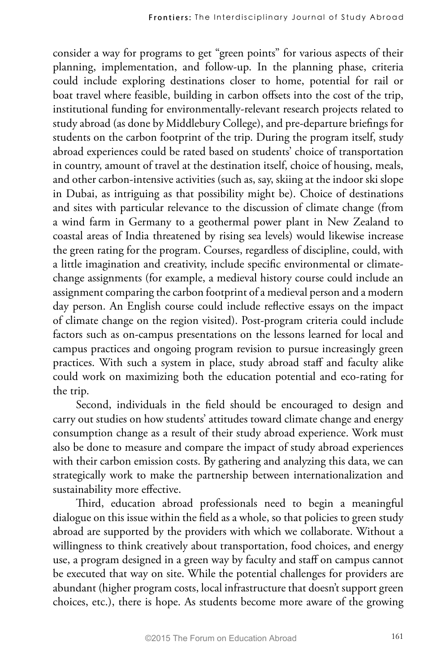consider a way for programs to get "green points" for various aspects of their planning, implementation, and follow-up. In the planning phase, criteria could include exploring destinations closer to home, potential for rail or boat travel where feasible, building in carbon offsets into the cost of the trip, institutional funding for environmentally-relevant research projects related to study abroad (as done by Middlebury College), and pre-departure briefings for students on the carbon footprint of the trip. During the program itself, study abroad experiences could be rated based on students' choice of transportation in country, amount of travel at the destination itself, choice of housing, meals, and other carbon-intensive activities (such as, say, skiing at the indoor ski slope in Dubai, as intriguing as that possibility might be). Choice of destinations and sites with particular relevance to the discussion of climate change (from a wind farm in Germany to a geothermal power plant in New Zealand to coastal areas of India threatened by rising sea levels) would likewise increase the green rating for the program. Courses, regardless of discipline, could, with a little imagination and creativity, include specific environmental or climatechange assignments (for example, a medieval history course could include an assignment comparing the carbon footprint of a medieval person and a modern day person. An English course could include reflective essays on the impact of climate change on the region visited). Post-program criteria could include factors such as on-campus presentations on the lessons learned for local and campus practices and ongoing program revision to pursue increasingly green practices. With such a system in place, study abroad staff and faculty alike could work on maximizing both the education potential and eco-rating for the trip.

Second, individuals in the field should be encouraged to design and carry out studies on how students' attitudes toward climate change and energy consumption change as a result of their study abroad experience. Work must also be done to measure and compare the impact of study abroad experiences with their carbon emission costs. By gathering and analyzing this data, we can strategically work to make the partnership between internationalization and sustainability more effective.

Third, education abroad professionals need to begin a meaningful dialogue on this issue within the field as a whole, so that policies to green study abroad are supported by the providers with which we collaborate. Without a willingness to think creatively about transportation, food choices, and energy use, a program designed in a green way by faculty and staff on campus cannot be executed that way on site. While the potential challenges for providers are abundant (higher program costs, local infrastructure that doesn't support green choices, etc.), there is hope. As students become more aware of the growing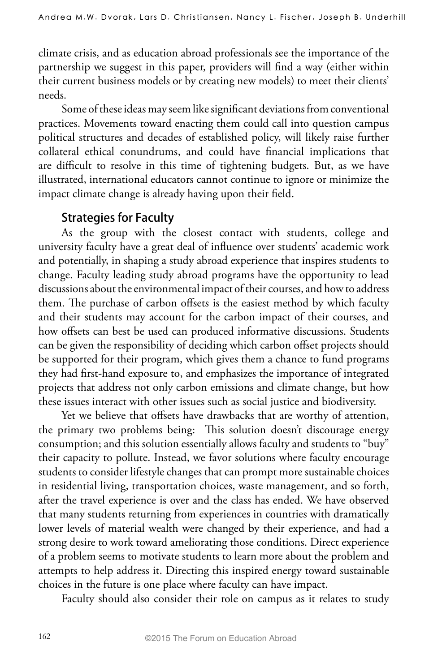climate crisis, and as education abroad professionals see the importance of the partnership we suggest in this paper, providers will find a way (either within their current business models or by creating new models) to meet their clients' needs.

Some of these ideas may seem like significant deviations from conventional practices. Movements toward enacting them could call into question campus political structures and decades of established policy, will likely raise further collateral ethical conundrums, and could have financial implications that are difficult to resolve in this time of tightening budgets. But, as we have illustrated, international educators cannot continue to ignore or minimize the impact climate change is already having upon their field.

#### **Strategies for Faculty**

As the group with the closest contact with students, college and university faculty have a great deal of influence over students' academic work and potentially, in shaping a study abroad experience that inspires students to change. Faculty leading study abroad programs have the opportunity to lead discussions about the environmental impact of their courses, and how to address them. The purchase of carbon offsets is the easiest method by which faculty and their students may account for the carbon impact of their courses, and how offsets can best be used can produced informative discussions. Students can be given the responsibility of deciding which carbon offset projects should be supported for their program, which gives them a chance to fund programs they had first-hand exposure to, and emphasizes the importance of integrated projects that address not only carbon emissions and climate change, but how these issues interact with other issues such as social justice and biodiversity.

Yet we believe that offsets have drawbacks that are worthy of attention, the primary two problems being: This solution doesn't discourage energy consumption; and this solution essentially allows faculty and students to "buy" their capacity to pollute. Instead, we favor solutions where faculty encourage students to consider lifestyle changes that can prompt more sustainable choices in residential living, transportation choices, waste management, and so forth, after the travel experience is over and the class has ended. We have observed that many students returning from experiences in countries with dramatically lower levels of material wealth were changed by their experience, and had a strong desire to work toward ameliorating those conditions. Direct experience of a problem seems to motivate students to learn more about the problem and attempts to help address it. Directing this inspired energy toward sustainable choices in the future is one place where faculty can have impact.

Faculty should also consider their role on campus as it relates to study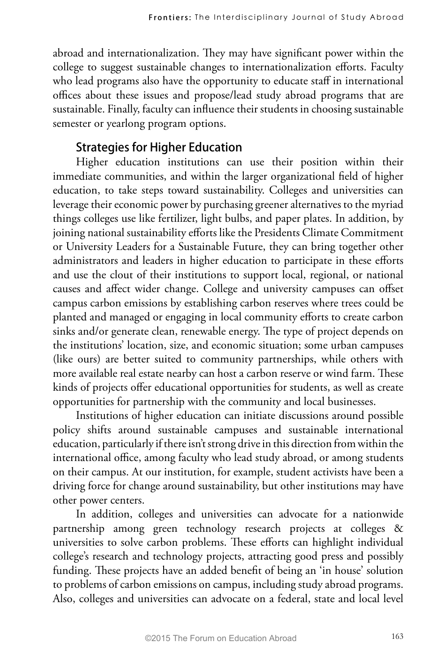abroad and internationalization. They may have significant power within the college to suggest sustainable changes to internationalization efforts. Faculty who lead programs also have the opportunity to educate staff in international offices about these issues and propose/lead study abroad programs that are sustainable. Finally, faculty can influence their students in choosing sustainable semester or yearlong program options.

#### **Strategies for Higher Education**

Higher education institutions can use their position within their immediate communities, and within the larger organizational field of higher education, to take steps toward sustainability. Colleges and universities can leverage their economic power by purchasing greener alternatives to the myriad things colleges use like fertilizer, light bulbs, and paper plates. In addition, by joining national sustainability efforts like the Presidents Climate Commitment or University Leaders for a Sustainable Future, they can bring together other administrators and leaders in higher education to participate in these efforts and use the clout of their institutions to support local, regional, or national causes and affect wider change. College and university campuses can offset campus carbon emissions by establishing carbon reserves where trees could be planted and managed or engaging in local community efforts to create carbon sinks and/or generate clean, renewable energy. The type of project depends on the institutions' location, size, and economic situation; some urban campuses (like ours) are better suited to community partnerships, while others with more available real estate nearby can host a carbon reserve or wind farm. These kinds of projects offer educational opportunities for students, as well as create opportunities for partnership with the community and local businesses.

Institutions of higher education can initiate discussions around possible policy shifts around sustainable campuses and sustainable international education, particularly if there isn't strong drive in this direction from within the international office, among faculty who lead study abroad, or among students on their campus. At our institution, for example, student activists have been a driving force for change around sustainability, but other institutions may have other power centers.

In addition, colleges and universities can advocate for a nationwide partnership among green technology research projects at colleges & universities to solve carbon problems. These efforts can highlight individual college's research and technology projects, attracting good press and possibly funding. These projects have an added benefit of being an 'in house' solution to problems of carbon emissions on campus, including study abroad programs. Also, colleges and universities can advocate on a federal, state and local level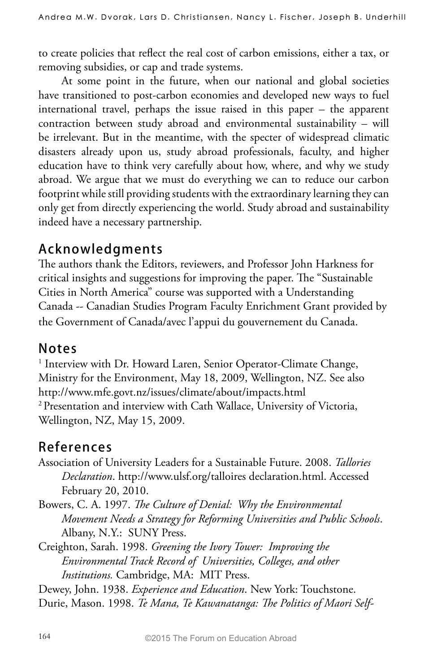to create policies that reflect the real cost of carbon emissions, either a tax, or removing subsidies, or cap and trade systems.

At some point in the future, when our national and global societies have transitioned to post-carbon economies and developed new ways to fuel international travel, perhaps the issue raised in this paper – the apparent contraction between study abroad and environmental sustainability – will be irrelevant. But in the meantime, with the specter of widespread climatic disasters already upon us, study abroad professionals, faculty, and higher education have to think very carefully about how, where, and why we study abroad. We argue that we must do everything we can to reduce our carbon footprint while still providing students with the extraordinary learning they can only get from directly experiencing the world. Study abroad and sustainability indeed have a necessary partnership.

## **Acknowledgments**

The authors thank the Editors, reviewers, and Professor John Harkness for critical insights and suggestions for improving the paper. The "Sustainable Cities in North America" course was supported with a Understanding Canada -- Canadian Studies Program Faculty Enrichment Grant provided by the Government of Canada/avec l'appui du gouvernement du Canada.

## **Notes**

<sup>1</sup> Interview with Dr. Howard Laren, Senior Operator-Climate Change, Ministry for the Environment, May 18, 2009, Wellington, NZ. See also http://www.mfe.govt.nz/issues/climate/about/impacts.html 2 Presentation and interview with Cath Wallace, University of Victoria, Wellington, NZ, May 15, 2009.

# **References**

- Association of University Leaders for a Sustainable Future. 2008. *Tallories Declaration*. http://www.ulsf.org/talloires declaration.html. Accessed February 20, 2010.
- Bowers, C. A. 1997. *The Culture of Denial: Why the Environmental Movement Needs a Strategy for Reforming Universities and Public Schools*. Albany, N.Y.: SUNY Press.
- Creighton, Sarah. 1998. *Greening the Ivory Tower: Improving the Environmental Track Record of Universities, Colleges, and other Institutions.* Cambridge, MA: MIT Press.

Dewey, John. 1938. *Experience and Education*. New York: Touchstone. Durie, Mason. 1998. *Te Mana, Te Kawanatanga: The Politics of Maori Self-*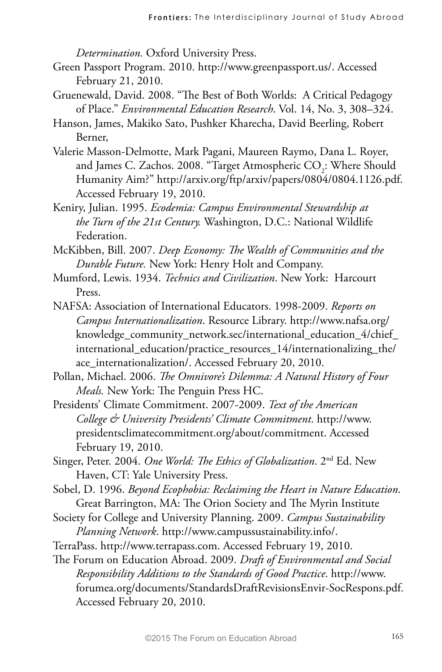*Determination.* Oxford University Press.

- Green Passport Program. 2010. http://www.greenpassport.us/. Accessed February 21, 2010.
- Gruenewald, David. 2008. "The Best of Both Worlds: A Critical Pedagogy of Place." *Environmental Education Research*. Vol. 14, No. 3, 308–324.
- Hanson, James, Makiko Sato, Pushker Kharecha, David Beerling, Robert Berner,
- Valerie Masson-Delmotte, Mark Pagani, Maureen Raymo, Dana L. Royer, and James C. Zachos. 2008. "Target Atmospheric  $\mathrm{CO}_2$ : Where Should Humanity Aim?" http://arxiv.org/ftp/arxiv/papers/0804/0804.1126.pdf. Accessed February 19, 2010.
- Keniry, Julian. 1995. *Ecodemia: Campus Environmental Stewardship at the Turn of the 21st Century.* Washington, D.C.: National Wildlife Federation.
- McKibben, Bill. 2007. *Deep Economy: The Wealth of Communities and the Durable Future.* New York: Henry Holt and Company.
- Mumford, Lewis. 1934. *Technics and Civilization*. New York: Harcourt Press.
- NAFSA: Association of International Educators. 1998-2009. *Reports on Campus Internationalization*. Resource Library. http://www.nafsa.org/ knowledge\_community\_network.sec/international\_education\_4/chief\_ international\_education/practice\_resources\_14/internationalizing\_the/ ace internationalization/. Accessed February 20, 2010.
- Pollan, Michael. 2006. *The Omnivore's Dilemma: A Natural History of Four Meals.* New York: The Penguin Press HC.
- Presidents' Climate Commitment. 2007-2009. *Text of the American College & University Presidents' Climate Commitment*. http://www. presidentsclimatecommitment.org/about/commitment. Accessed February 19, 2010.
- Singer, Peter. 2004. *One World: The Ethics of Globalization*. 2nd Ed. New Haven, CT: Yale University Press.
- Sobel, D. 1996. *Beyond Ecophobia: Reclaiming the Heart in Nature Education*. Great Barrington, MA: The Orion Society and The Myrin Institute
- Society for College and University Planning. 2009. *Campus Sustainability Planning Network*. http://www.campussustainability.info/.
- TerraPass. http://www.terrapass.com. Accessed February 19, 2010.
- The Forum on Education Abroad. 2009. *Draft of Environmental and Social Responsibility Additions to the Standards of Good Practice*. http://www. forumea.org/documents/StandardsDraftRevisionsEnvir-SocRespons.pdf. Accessed February 20, 2010.